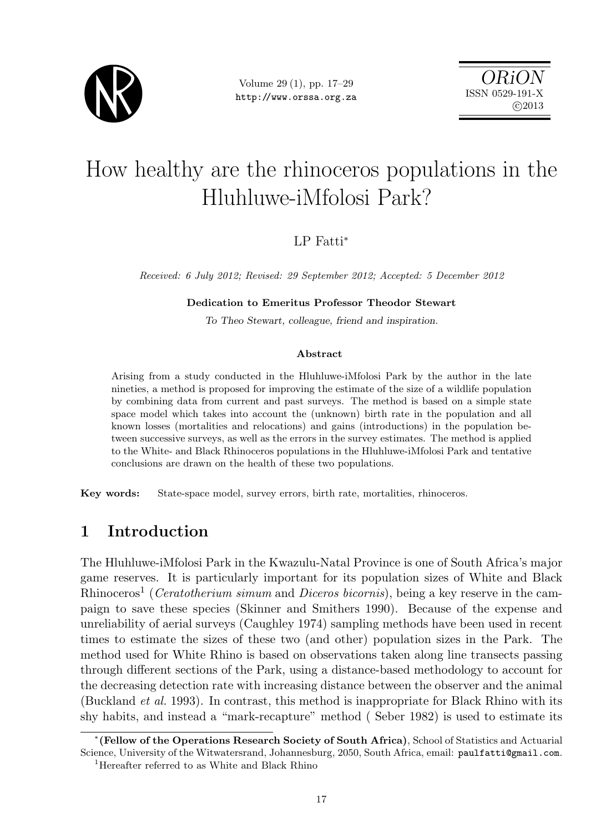

Volume 29 (1), pp. 17–29 http://www.orssa.org.za

ORiON ISSN 0529-191-X c 2013

# How healthy are the rhinoceros populations in the Hluhluwe-iMfolosi Park?

## LP Fatti<sup>∗</sup>

Received: 6 July 2012; Revised: 29 September 2012; Accepted: 5 December 2012

### Dedication to Emeritus Professor Theodor Stewart

To Theo Stewart, colleague, friend and inspiration.

### Abstract

Arising from a study conducted in the Hluhluwe-iMfolosi Park by the author in the late nineties, a method is proposed for improving the estimate of the size of a wildlife population by combining data from current and past surveys. The method is based on a simple state space model which takes into account the (unknown) birth rate in the population and all known losses (mortalities and relocations) and gains (introductions) in the population between successive surveys, as well as the errors in the survey estimates. The method is applied to the White- and Black Rhinoceros populations in the Hluhluwe-iMfolosi Park and tentative conclusions are drawn on the health of these two populations.

Key words: State-space model, survey errors, birth rate, mortalities, rhinoceros.

# 1 Introduction

The Hluhluwe-iMfolosi Park in the Kwazulu-Natal Province is one of South Africa's major game reserves. It is particularly important for its population sizes of White and Black Rhinoceros<sup>1</sup> (*Ceratotherium simum* and *Diceros bicornis*), being a key reserve in the campaign to save these species (Skinner and Smithers 1990). Because of the expense and unreliability of aerial surveys (Caughley 1974) sampling methods have been used in recent times to estimate the sizes of these two (and other) population sizes in the Park. The method used for White Rhino is based on observations taken along line transects passing through different sections of the Park, using a distance-based methodology to account for the decreasing detection rate with increasing distance between the observer and the animal (Buckland et al. 1993). In contrast, this method is inappropriate for Black Rhino with its shy habits, and instead a "mark-recapture" method ( Seber 1982) is used to estimate its

<sup>∗</sup> (Fellow of the Operations Research Society of South Africa), School of Statistics and Actuarial Science, University of the Witwatersrand, Johannesburg, 2050, South Africa, email: paulfatti@gmail.com. <sup>1</sup>Hereafter referred to as White and Black Rhino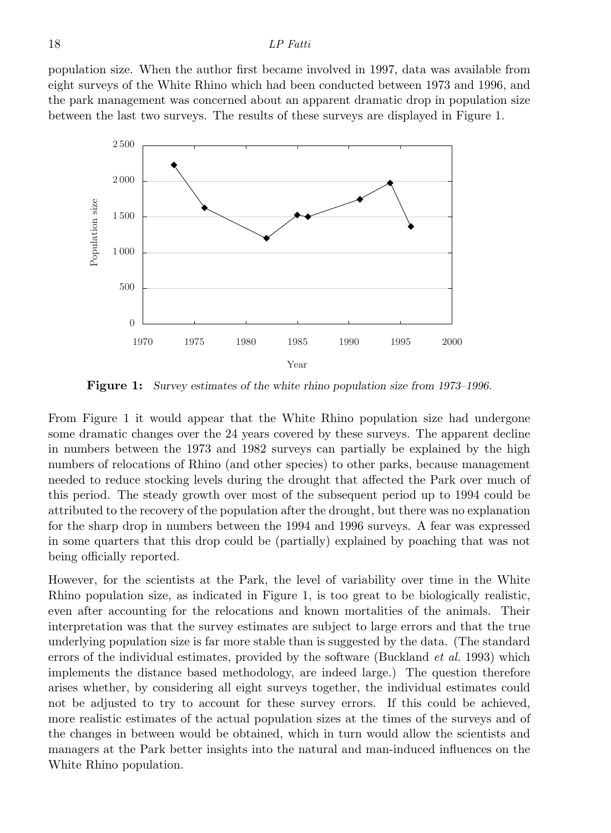population size. When the author first became involved in 1997, data was available from eight surveys of the White Rhino which had been conducted between 1973 and 1996, and the park management was concerned about an apparent dramatic drop in population size between the last two surveys. The results of these surveys are displayed in Figure 1.



Figure 1: Survey estimates of the white rhino population size from 1973–1996.

From Figure 1 it would appear that the White Rhino population size had undergone some dramatic changes over the 24 years covered by these surveys. The apparent decline in numbers between the 1973 and 1982 surveys can partially be explained by the high numbers of relocations of Rhino (and other species) to other parks, because management needed to reduce stocking levels during the drought that affected the Park over much of this period. The steady growth over most of the subsequent period up to 1994 could be attributed to the recovery of the population after the drought, but there was no explanation for the sharp drop in numbers between the 1994 and 1996 surveys. A fear was expressed in some quarters that this drop could be (partially) explained by poaching that was not being officially reported.

However, for the scientists at the Park, the level of variability over time in the White Rhino population size, as indicated in Figure 1, is too great to be biologically realistic, even after accounting for the relocations and known mortalities of the animals. Their interpretation was that the survey estimates are subject to large errors and that the true underlying population size is far more stable than is suggested by the data. (The standard errors of the individual estimates, provided by the software (Buckland *et al.* 1993) which implements the distance based methodology, are indeed large.) The question therefore arises whether, by considering all eight surveys together, the individual estimates could not be adjusted to try to account for these survey errors. If this could be achieved, more realistic estimates of the actual population sizes at the times of the surveys and of the changes in between would be obtained, which in turn would allow the scientists and managers at the Park better insights into the natural and man-induced influences on the White Rhino population.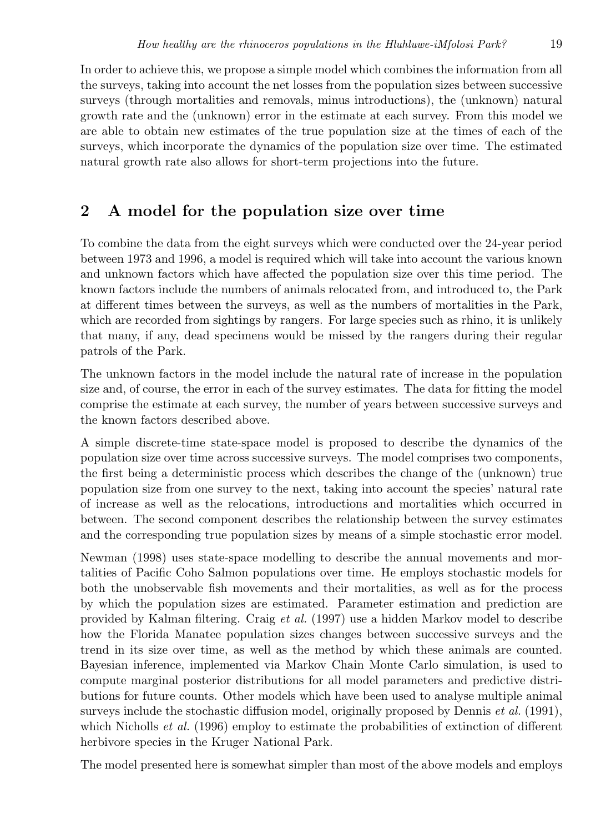In order to achieve this, we propose a simple model which combines the information from all the surveys, taking into account the net losses from the population sizes between successive surveys (through mortalities and removals, minus introductions), the (unknown) natural growth rate and the (unknown) error in the estimate at each survey. From this model we are able to obtain new estimates of the true population size at the times of each of the surveys, which incorporate the dynamics of the population size over time. The estimated natural growth rate also allows for short-term projections into the future.

# 2 A model for the population size over time

To combine the data from the eight surveys which were conducted over the 24-year period between 1973 and 1996, a model is required which will take into account the various known and unknown factors which have affected the population size over this time period. The known factors include the numbers of animals relocated from, and introduced to, the Park at different times between the surveys, as well as the numbers of mortalities in the Park, which are recorded from sightings by rangers. For large species such as rhino, it is unlikely that many, if any, dead specimens would be missed by the rangers during their regular patrols of the Park.

The unknown factors in the model include the natural rate of increase in the population size and, of course, the error in each of the survey estimates. The data for fitting the model comprise the estimate at each survey, the number of years between successive surveys and the known factors described above.

A simple discrete-time state-space model is proposed to describe the dynamics of the population size over time across successive surveys. The model comprises two components, the first being a deterministic process which describes the change of the (unknown) true population size from one survey to the next, taking into account the species' natural rate of increase as well as the relocations, introductions and mortalities which occurred in between. The second component describes the relationship between the survey estimates and the corresponding true population sizes by means of a simple stochastic error model.

Newman (1998) uses state-space modelling to describe the annual movements and mortalities of Pacific Coho Salmon populations over time. He employs stochastic models for both the unobservable fish movements and their mortalities, as well as for the process by which the population sizes are estimated. Parameter estimation and prediction are provided by Kalman filtering. Craig et al. (1997) use a hidden Markov model to describe how the Florida Manatee population sizes changes between successive surveys and the trend in its size over time, as well as the method by which these animals are counted. Bayesian inference, implemented via Markov Chain Monte Carlo simulation, is used to compute marginal posterior distributions for all model parameters and predictive distributions for future counts. Other models which have been used to analyse multiple animal surveys include the stochastic diffusion model, originally proposed by Dennis  $et al. (1991)$ , which Nicholls *et al.* (1996) employ to estimate the probabilities of extinction of different herbivore species in the Kruger National Park.

The model presented here is somewhat simpler than most of the above models and employs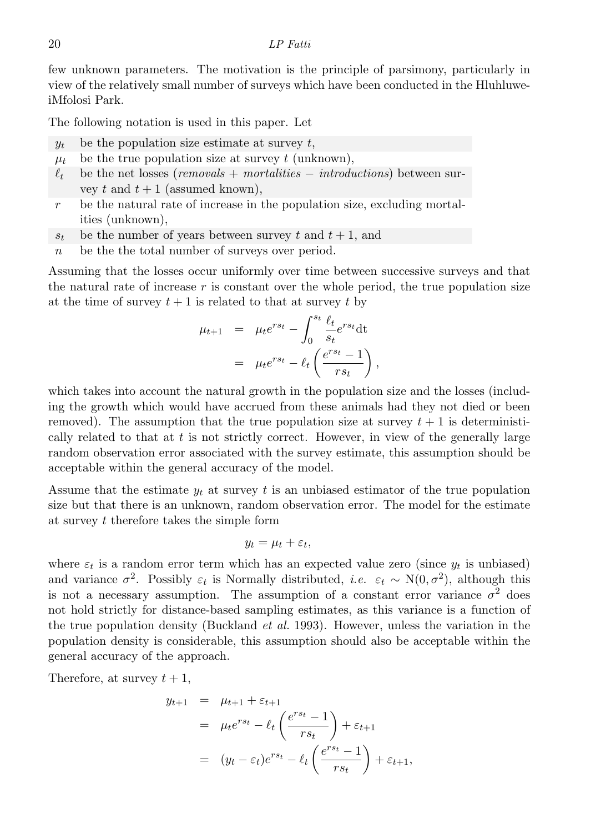few unknown parameters. The motivation is the principle of parsimony, particularly in view of the relatively small number of surveys which have been conducted in the HluhluweiMfolosi Park.

The following notation is used in this paper. Let

- $y_t$  be the population size estimate at survey t,
- $\mu_t$  be the true population size at survey t (unknown),
- $\ell_t$  be the net losses (removals + mortalities introductions) between survey t and  $t + 1$  (assumed known),
- $r$  be the natural rate of increase in the population size, excluding mortalities (unknown),
- $s_t$  be the number of years between survey t and  $t + 1$ , and
- $n$  be the total number of surveys over period.

Assuming that the losses occur uniformly over time between successive surveys and that the natural rate of increase  $r$  is constant over the whole period, the true population size at the time of survey  $t + 1$  is related to that at survey t by

$$
\mu_{t+1} = \mu_t e^{rs_t} - \int_0^{s_t} \frac{\ell_t}{s_t} e^{rs_t} dt
$$

$$
= \mu_t e^{rs_t} - \ell_t \left( \frac{e^{rs_t} - 1}{rs_t} \right),
$$

which takes into account the natural growth in the population size and the losses (including the growth which would have accrued from these animals had they not died or been removed). The assumption that the true population size at survey  $t + 1$  is deterministically related to that at  $t$  is not strictly correct. However, in view of the generally large random observation error associated with the survey estimate, this assumption should be acceptable within the general accuracy of the model.

Assume that the estimate  $y_t$  at survey t is an unbiased estimator of the true population size but that there is an unknown, random observation error. The model for the estimate at survey t therefore takes the simple form

$$
y_t = \mu_t + \varepsilon_t,
$$

where  $\varepsilon_t$  is a random error term which has an expected value zero (since  $y_t$  is unbiased) and variance  $\sigma^2$ . Possibly  $\varepsilon_t$  is Normally distributed, *i.e.*  $\varepsilon_t \sim N(0, \sigma^2)$ , although this is not a necessary assumption. The assumption of a constant error variance  $\sigma^2$  does not hold strictly for distance-based sampling estimates, as this variance is a function of the true population density (Buckland *et al.* 1993). However, unless the variation in the population density is considerable, this assumption should also be acceptable within the general accuracy of the approach.

Therefore, at survey  $t + 1$ ,

$$
y_{t+1} = \mu_{t+1} + \varepsilon_{t+1}
$$
  
=  $\mu_t e^{rs_t} - \ell_t \left( \frac{e^{rs_t} - 1}{rs_t} \right) + \varepsilon_{t+1}$   
=  $(y_t - \varepsilon_t)e^{rs_t} - \ell_t \left( \frac{e^{rs_t} - 1}{rs_t} \right) + \varepsilon_{t+1},$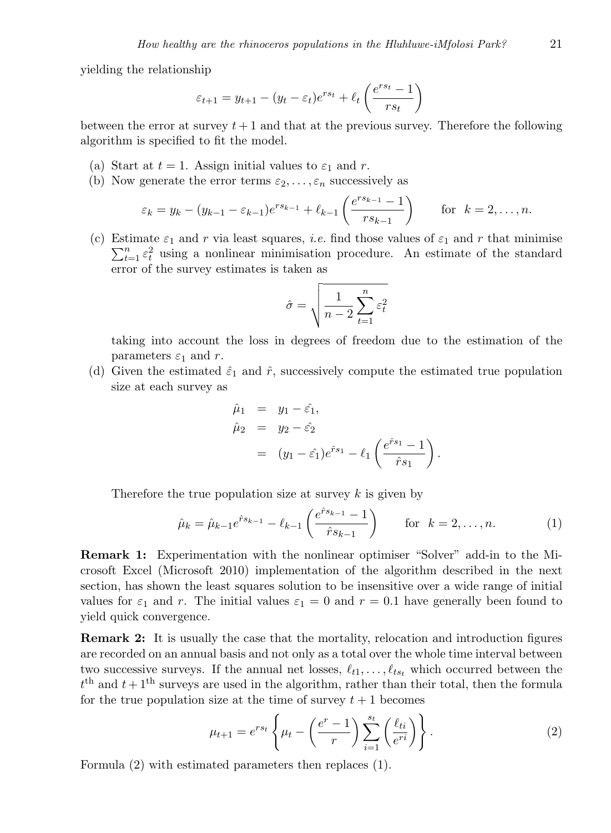yielding the relationship

$$
\varepsilon_{t+1} = y_{t+1} - (y_t - \varepsilon_t)e^{rs_t} + \ell_t\left(\frac{e^{rs_t} - 1}{rs_t}\right)
$$

between the error at survey  $t + 1$  and that at the previous survey. Therefore the following algorithm is specified to fit the model.

- (a) Start at  $t = 1$ . Assign initial values to  $\varepsilon_1$  and r.
- (b) Now generate the error terms  $\varepsilon_2, \ldots, \varepsilon_n$  successively as

$$
\varepsilon_k = y_k - (y_{k-1} - \varepsilon_{k-1})e^{rs_{k-1}} + \ell_{k-1}\left(\frac{e^{rs_{k-1}} - 1}{rs_{k-1}}\right)
$$
 for  $k = 2, ..., n$ .

(c) Estimate  $\varepsilon_1$  and r via least squares, *i.e.* find those values of  $\varepsilon_1$  and r that minimise  $\sum_{t=1}^{n} \varepsilon_t^2$  using a nonlinear minimisation procedure. An estimate of the standard error of the survey estimates is taken as

$$
\hat{\sigma} = \sqrt{\frac{1}{n-2} \sum_{t=1}^{n} \varepsilon_t^2}
$$

taking into account the loss in degrees of freedom due to the estimation of the parameters  $\varepsilon_1$  and r.

(d) Given the estimated  $\hat{\varepsilon}_1$  and  $\hat{r}$ , successively compute the estimated true population size at each survey as

$$
\hat{\mu}_1 = y_1 - \hat{\varepsilon}_1, \n\hat{\mu}_2 = y_2 - \hat{\varepsilon}_2 \n= (y_1 - \hat{\varepsilon}_1)e^{\hat{r}s_1} - \ell_1\left(\frac{e^{\hat{r}s_1} - 1}{\hat{r}s_1}\right).
$$

Therefore the true population size at survey  $k$  is given by

$$
\hat{\mu}_k = \hat{\mu}_{k-1} e^{\hat{r}s_{k-1}} - \ell_{k-1} \left( \frac{e^{\hat{r}s_{k-1}} - 1}{\hat{r}s_{k-1}} \right) \qquad \text{for} \ \ k = 2, \dots, n. \tag{1}
$$

Remark 1: Experimentation with the nonlinear optimiser "Solver" add-in to the Microsoft Excel (Microsoft 2010) implementation of the algorithm described in the next section, has shown the least squares solution to be insensitive over a wide range of initial values for  $\varepsilon_1$  and r. The initial values  $\varepsilon_1 = 0$  and  $r = 0.1$  have generally been found to yield quick convergence.

Remark 2: It is usually the case that the mortality, relocation and introduction figures are recorded on an annual basis and not only as a total over the whole time interval between two successive surveys. If the annual net losses,  $\ell_{t1}, \ldots, \ell_{tst}$  which occurred between the  $t<sup>th</sup>$  and  $t+1<sup>th</sup>$  surveys are used in the algorithm, rather than their total, then the formula for the true population size at the time of survey  $t + 1$  becomes

$$
\mu_{t+1} = e^{rs_t} \left\{ \mu_t - \left( \frac{e^r - 1}{r} \right) \sum_{i=1}^{s_t} \left( \frac{\ell_{ti}}{e^{ri}} \right) \right\}.
$$
 (2)

Formula (2) with estimated parameters then replaces (1).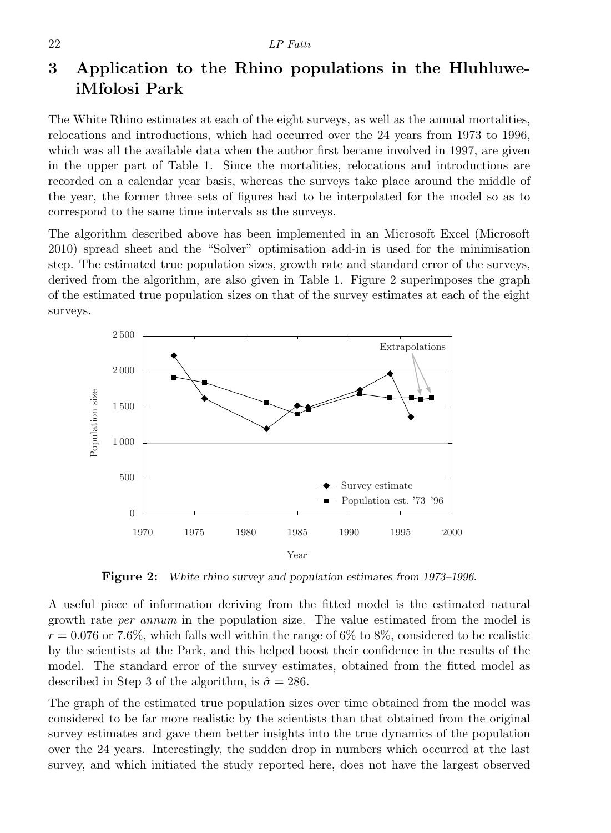# 3 Application to the Rhino populations in the HluhluweiMfolosi Park

The White Rhino estimates at each of the eight surveys, as well as the annual mortalities, relocations and introductions, which had occurred over the 24 years from 1973 to 1996, which was all the available data when the author first became involved in 1997, are given in the upper part of Table 1. Since the mortalities, relocations and introductions are recorded on a calendar year basis, whereas the surveys take place around the middle of the year, the former three sets of figures had to be interpolated for the model so as to correspond to the same time intervals as the surveys.

The algorithm described above has been implemented in an Microsoft Excel (Microsoft 2010) spread sheet and the "Solver" optimisation add-in is used for the minimisation step. The estimated true population sizes, growth rate and standard error of the surveys, derived from the algorithm, are also given in Table 1. Figure 2 superimposes the graph of the estimated true population sizes on that of the survey estimates at each of the eight surveys.



Figure 2: White rhino survey and population estimates from 1973–1996.

A useful piece of information deriving from the fitted model is the estimated natural growth rate per annum in the population size. The value estimated from the model is  $r = 0.076$  or 7.6%, which falls well within the range of 6% to 8%, considered to be realistic by the scientists at the Park, and this helped boost their confidence in the results of the model. The standard error of the survey estimates, obtained from the fitted model as described in Step 3 of the algorithm, is  $\hat{\sigma} = 286$ .

The graph of the estimated true population sizes over time obtained from the model was considered to be far more realistic by the scientists than that obtained from the original survey estimates and gave them better insights into the true dynamics of the population over the 24 years. Interestingly, the sudden drop in numbers which occurred at the last survey, and which initiated the study reported here, does not have the largest observed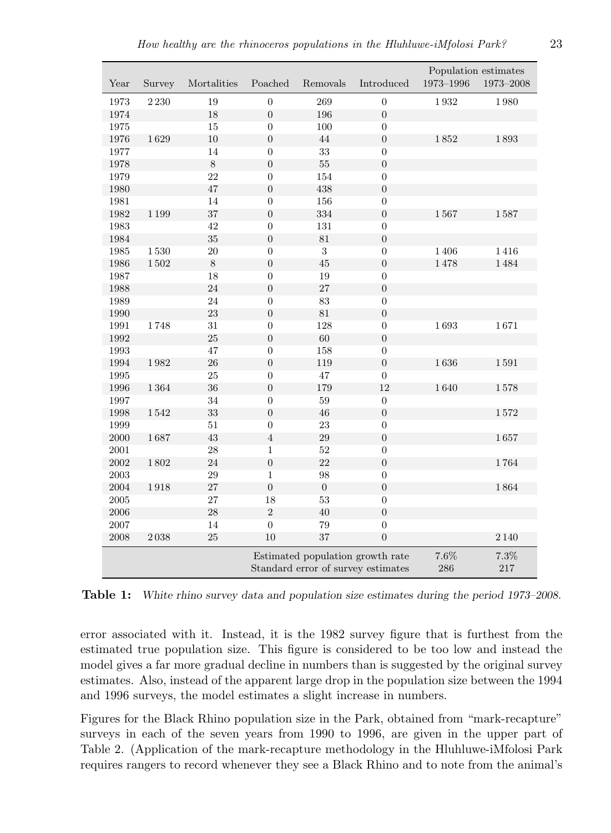| Year       | Survey                                                                 | Mortalities | Poached          | Removals         | Introduced       | Population estimates<br>$1973 - 1996$<br>$1973 - 2008$ |                    |
|------------|------------------------------------------------------------------------|-------------|------------------|------------------|------------------|--------------------------------------------------------|--------------------|
| 1973       | $2\,230$                                                               | 19          | $\boldsymbol{0}$ | 269              | $\boldsymbol{0}$ | 1932                                                   | 1980               |
| 1974       |                                                                        | 18          | $\boldsymbol{0}$ | 196              | $\boldsymbol{0}$ |                                                        |                    |
| 1975       |                                                                        | 15          | $\overline{0}$   | 100              | $\boldsymbol{0}$ |                                                        |                    |
| 1976       | 1629                                                                   | $10\,$      | $\boldsymbol{0}$ | $44\,$           | $\boldsymbol{0}$ | 1852                                                   | 1893               |
| 1977       |                                                                        | 14          | $\boldsymbol{0}$ | 33               | $\boldsymbol{0}$ |                                                        |                    |
| 1978       |                                                                        | $8\,$       | $\overline{0}$   | 55               | $\overline{0}$   |                                                        |                    |
| 1979       |                                                                        | 22          | $\boldsymbol{0}$ | 154              | $\boldsymbol{0}$ |                                                        |                    |
| 1980       |                                                                        | 47          | $\boldsymbol{0}$ | 438              | $\boldsymbol{0}$ |                                                        |                    |
| 1981       |                                                                        | 14          | $\boldsymbol{0}$ | 156              | $\boldsymbol{0}$ |                                                        |                    |
| 1982       | 1199                                                                   | 37          | $\boldsymbol{0}$ | 334              | $\boldsymbol{0}$ | 1567                                                   | 1587               |
| 1983       |                                                                        | 42          | $\boldsymbol{0}$ | 131              | $\boldsymbol{0}$ |                                                        |                    |
| 1984       |                                                                        | 35          | $\boldsymbol{0}$ | 81               | $\boldsymbol{0}$ |                                                        |                    |
| 1985       | $1\,530$                                                               | $20\,$      | $\overline{0}$   | $\sqrt{3}$       | $\boldsymbol{0}$ | 1406                                                   | 1416               |
| 1986       | $1\,502$                                                               | $8\,$       | $\boldsymbol{0}$ | $45\,$           | $\boldsymbol{0}$ | 1478                                                   | 1484               |
| 1987       |                                                                        | 18          | $\boldsymbol{0}$ | 19               | $\boldsymbol{0}$ |                                                        |                    |
| 1988       |                                                                        | 24          | $\overline{0}$   | 27               | $\overline{0}$   |                                                        |                    |
| 1989       |                                                                        | 24          | $\boldsymbol{0}$ | 83               | $\boldsymbol{0}$ |                                                        |                    |
| 1990       |                                                                        | $\bf 23$    | $\boldsymbol{0}$ | 81               | $\boldsymbol{0}$ |                                                        |                    |
| 1991       | 1748                                                                   | 31          | $\boldsymbol{0}$ | 128              | $\boldsymbol{0}$ | 1693                                                   | 1671               |
| 1992       |                                                                        | $25\,$      | $\boldsymbol{0}$ | $60\,$           | $\boldsymbol{0}$ |                                                        |                    |
| 1993       |                                                                        | 47          | $\boldsymbol{0}$ | 158              | $\boldsymbol{0}$ |                                                        |                    |
| 1994       | 1982                                                                   | 26          | $\overline{0}$   | 119              | $\boldsymbol{0}$ | 1636                                                   | $1\,591$           |
| 1995       |                                                                        | 25          | $\boldsymbol{0}$ | 47               | $\boldsymbol{0}$ |                                                        |                    |
| 1996       | 1364                                                                   | 36          | $\boldsymbol{0}$ | 179              | 12               | 1640                                                   | 1578               |
| 1997       |                                                                        | 34          | $\boldsymbol{0}$ | 59               | $\boldsymbol{0}$ |                                                        |                    |
| 1998       | 1542                                                                   | 33          | $\boldsymbol{0}$ | 46               | $\boldsymbol{0}$ |                                                        | 1572               |
| 1999       |                                                                        | 51          | $\boldsymbol{0}$ | 23               | $\boldsymbol{0}$ |                                                        |                    |
| $2000\,$   | 1687                                                                   | 43          | $\,4\,$          | 29               | $\boldsymbol{0}$ |                                                        | 1657               |
| 2001       |                                                                        | 28          | $\mathbf{1}$     | 52               | $\overline{0}$   |                                                        |                    |
| 2002       | 1802                                                                   | 24          | $\boldsymbol{0}$ | 22               | $\boldsymbol{0}$ |                                                        | 1764               |
| $\,2003\,$ |                                                                        | $\,29$      | $\mathbf{1}$     | 98               | $\boldsymbol{0}$ |                                                        |                    |
| 2004       | 1918                                                                   | 27          | $\overline{0}$   | $\boldsymbol{0}$ | $\overline{0}$   |                                                        | 1864               |
| 2005       |                                                                        | 27          | 18               | 53               | $\overline{0}$   |                                                        |                    |
| $\,2006\,$ |                                                                        | 28          | $\,2$            | 40               | $\boldsymbol{0}$ |                                                        |                    |
| 2007       |                                                                        | 14          | $\boldsymbol{0}$ | 79               | $\boldsymbol{0}$ |                                                        |                    |
| $2008\,$   | $2\,038$                                                               | 25          | 10               | 37               | $\boldsymbol{0}$ |                                                        | $2\,140$           |
|            | Estimated population growth rate<br>Standard error of survey estimates |             |                  |                  |                  | 7.6%<br>286                                            | $7.3\%$<br>$217\,$ |

Table 1: White rhino survey data and population size estimates during the period 1973–2008.

error associated with it. Instead, it is the 1982 survey figure that is furthest from the estimated true population size. This figure is considered to be too low and instead the model gives a far more gradual decline in numbers than is suggested by the original survey estimates. Also, instead of the apparent large drop in the population size between the 1994 and 1996 surveys, the model estimates a slight increase in numbers.

Figures for the Black Rhino population size in the Park, obtained from "mark-recapture" surveys in each of the seven years from 1990 to 1996, are given in the upper part of Table 2. (Application of the mark-recapture methodology in the Hluhluwe-iMfolosi Park requires rangers to record whenever they see a Black Rhino and to note from the animal's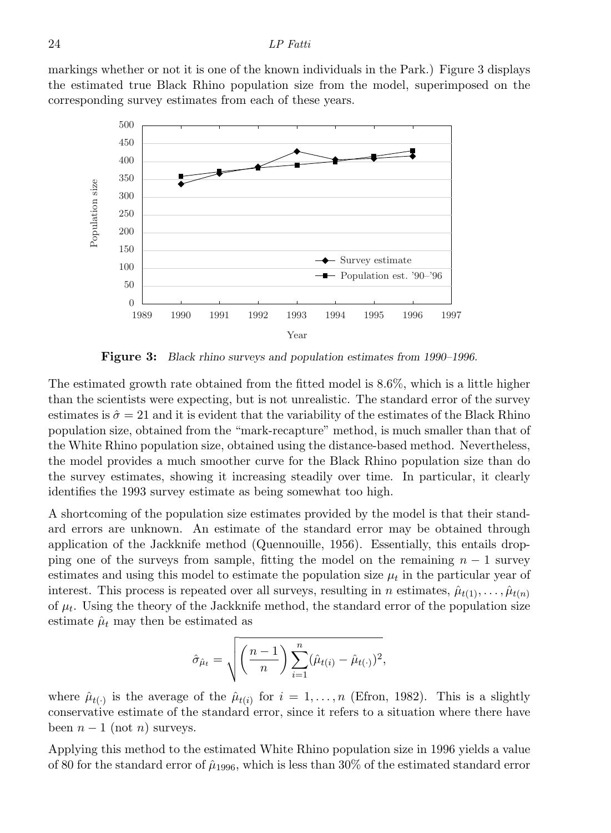markings whether or not it is one of the known individuals in the Park.) Figure 3 displays the estimated true Black Rhino population size from the model, superimposed on the corresponding survey estimates from each of these years.



Figure 3: Black rhino surveys and population estimates from 1990–1996.

The estimated growth rate obtained from the fitted model is 8.6%, which is a little higher than the scientists were expecting, but is not unrealistic. The standard error of the survey estimates is  $\hat{\sigma} = 21$  and it is evident that the variability of the estimates of the Black Rhino population size, obtained from the "mark-recapture" method, is much smaller than that of the White Rhino population size, obtained using the distance-based method. Nevertheless, the model provides a much smoother curve for the Black Rhino population size than do the survey estimates, showing it increasing steadily over time. In particular, it clearly identifies the 1993 survey estimate as being somewhat too high.

A shortcoming of the population size estimates provided by the model is that their standard errors are unknown. An estimate of the standard error may be obtained through application of the Jackknife method (Quennouille, 1956). Essentially, this entails dropping one of the surveys from sample, fitting the model on the remaining  $n - 1$  survey estimates and using this model to estimate the population size  $\mu_t$  in the particular year of interest. This process is repeated over all surveys, resulting in n estimates,  $\hat{\mu}_{t(1)}, \ldots, \hat{\mu}_{t(n)}$ of  $\mu_t$ . Using the theory of the Jackknife method, the standard error of the population size estimate  $\hat{\mu}_t$  may then be estimated as

$$
\hat{\sigma}_{\hat{\mu}_t} = \sqrt{\left(\frac{n-1}{n}\right) \sum_{i=1}^n (\hat{\mu}_{t(i)} - \hat{\mu}_{t(\cdot)})^2},
$$

where  $\hat{\mu}_{t(\cdot)}$  is the average of the  $\hat{\mu}_{t(i)}$  for  $i = 1, \ldots, n$  (Efron, 1982). This is a slightly conservative estimate of the standard error, since it refers to a situation where there have been  $n-1$  (not n) surveys.

Applying this method to the estimated White Rhino population size in 1996 yields a value of 80 for the standard error of  $\hat{\mu}_{1996}$ , which is less than 30% of the estimated standard error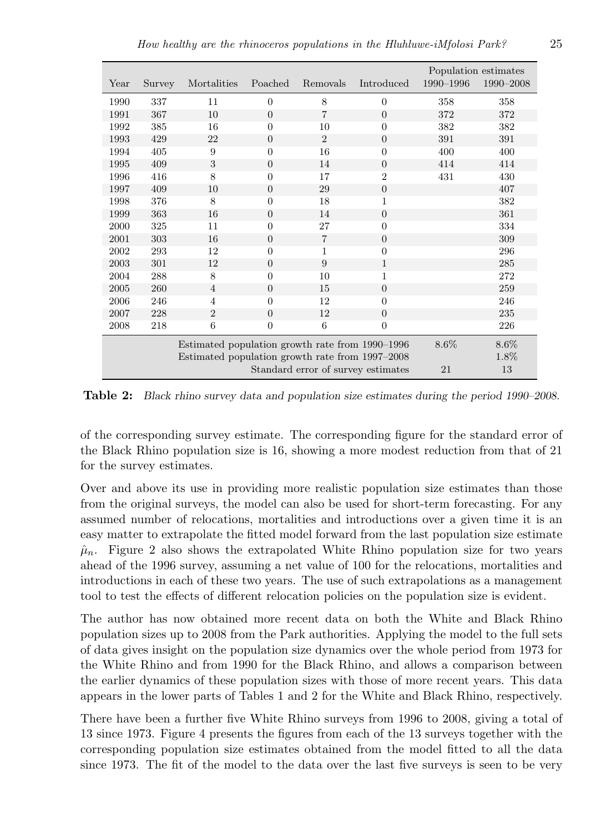|      |        |                                                 |                  |                |                | Population estimates |           |
|------|--------|-------------------------------------------------|------------------|----------------|----------------|----------------------|-----------|
| Year | Survey | Mortalities                                     | Poached          | Removals       | Introduced     | 1990-1996            | 1990-2008 |
| 1990 | 337    | 11                                              | $\theta$         | 8              | $\overline{0}$ | 358                  | 358       |
| 1991 | 367    | 10                                              | $\overline{0}$   | $\overline{7}$ | $\overline{0}$ | 372                  | 372       |
| 1992 | 385    | 16                                              | $\overline{0}$   | 10             | $\overline{0}$ | 382                  | 382       |
| 1993 | 429    | 22                                              | $\overline{0}$   | $\overline{2}$ | $\overline{0}$ | 391                  | 391       |
| 1994 | 405    | 9                                               | $\overline{0}$   | 16             | $\overline{0}$ | 400                  | 400       |
| 1995 | 409    | 3                                               | $\overline{0}$   | 14             | $\overline{0}$ | 414                  | 414       |
| 1996 | 416    | 8                                               | $\overline{0}$   | 17             | $\overline{2}$ | 431                  | 430       |
| 1997 | 409    | 10                                              | $\theta$         | 29             | $\theta$       |                      | 407       |
| 1998 | 376    | 8                                               | $\overline{0}$   | 18             | $\overline{1}$ |                      | 382       |
| 1999 | 363    | 16                                              | $\theta$         | 14             | $\overline{0}$ |                      | 361       |
| 2000 | 325    | 11                                              | $\overline{0}$   | 27             | $\overline{0}$ |                      | 334       |
| 2001 | 303    | 16                                              | $\overline{0}$   | $\overline{7}$ | $\theta$       |                      | 309       |
| 2002 | 293    | 12                                              | $\overline{0}$   | $\mathbf 1$    | $\overline{0}$ |                      | 296       |
| 2003 | 301    | 12                                              | $\overline{0}$   | 9              | $\mathbf{1}$   |                      | 285       |
| 2004 | 288    | 8                                               | $\overline{0}$   | 10             | 1              |                      | 272       |
| 2005 | 260    | $\overline{4}$                                  | $\overline{0}$   | 15             | $\overline{0}$ |                      | 259       |
| 2006 | 246    | 4                                               | $\overline{0}$   | 12             | $\overline{0}$ |                      | 246       |
| 2007 | 228    | $\overline{2}$                                  | $\overline{0}$   | 12             | $\theta$       |                      | 235       |
| 2008 | 218    | 6                                               | $\boldsymbol{0}$ | 6              | $\overline{0}$ |                      | 226       |
|      |        | Estimated population growth rate from 1990–1996 | $8.6\%$          | 8.6%           |                |                      |           |
|      |        | Estimated population growth rate from 1997–2008 |                  | 1.8%           |                |                      |           |
|      |        |                                                 | 21               | 13             |                |                      |           |

Table 2: Black rhino survey data and population size estimates during the period 1990–2008.

of the corresponding survey estimate. The corresponding figure for the standard error of the Black Rhino population size is 16, showing a more modest reduction from that of 21 for the survey estimates.

Over and above its use in providing more realistic population size estimates than those from the original surveys, the model can also be used for short-term forecasting. For any assumed number of relocations, mortalities and introductions over a given time it is an easy matter to extrapolate the fitted model forward from the last population size estimate  $\hat{\mu}_n$ . Figure 2 also shows the extrapolated White Rhino population size for two years ahead of the 1996 survey, assuming a net value of 100 for the relocations, mortalities and introductions in each of these two years. The use of such extrapolations as a management tool to test the effects of different relocation policies on the population size is evident.

The author has now obtained more recent data on both the White and Black Rhino population sizes up to 2008 from the Park authorities. Applying the model to the full sets of data gives insight on the population size dynamics over the whole period from 1973 for the White Rhino and from 1990 for the Black Rhino, and allows a comparison between the earlier dynamics of these population sizes with those of more recent years. This data appears in the lower parts of Tables 1 and 2 for the White and Black Rhino, respectively.

There have been a further five White Rhino surveys from 1996 to 2008, giving a total of 13 since 1973. Figure 4 presents the figures from each of the 13 surveys together with the corresponding population size estimates obtained from the model fitted to all the data since 1973. The fit of the model to the data over the last five surveys is seen to be very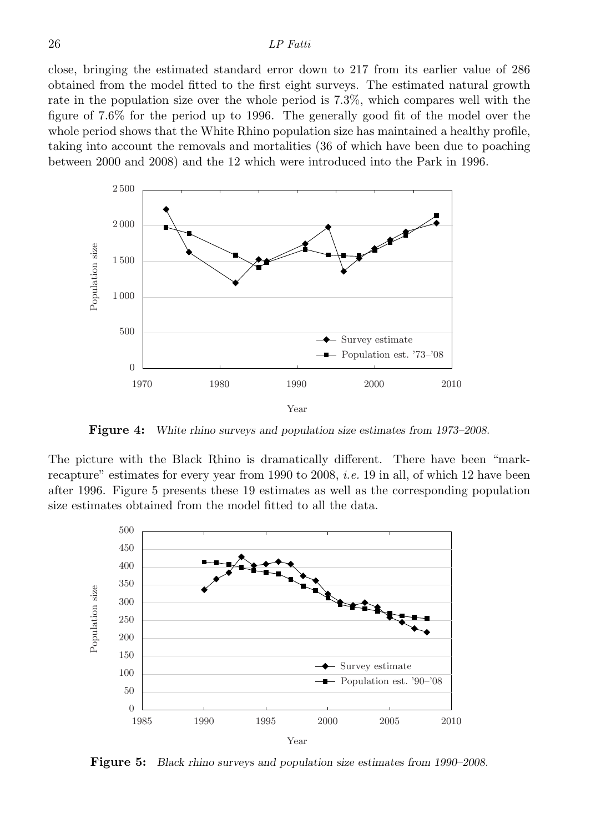close, bringing the estimated standard error down to 217 from its earlier value of 286 obtained from the model fitted to the first eight surveys. The estimated natural growth rate in the population size over the whole period is 7.3%, which compares well with the figure of 7.6% for the period up to 1996. The generally good fit of the model over the whole period shows that the White Rhino population size has maintained a healthy profile, taking into account the removals and mortalities (36 of which have been due to poaching between 2000 and 2008) and the 12 which were introduced into the Park in 1996.



Figure 4: White rhino surveys and population size estimates from 1973–2008.

The picture with the Black Rhino is dramatically different. There have been "markrecapture" estimates for every year from 1990 to 2008, *i.e.* 19 in all, of which 12 have been after 1996. Figure 5 presents these 19 estimates as well as the corresponding population size estimates obtained from the model fitted to all the data.



Figure 5: Black rhino surveys and population size estimates from 1990–2008.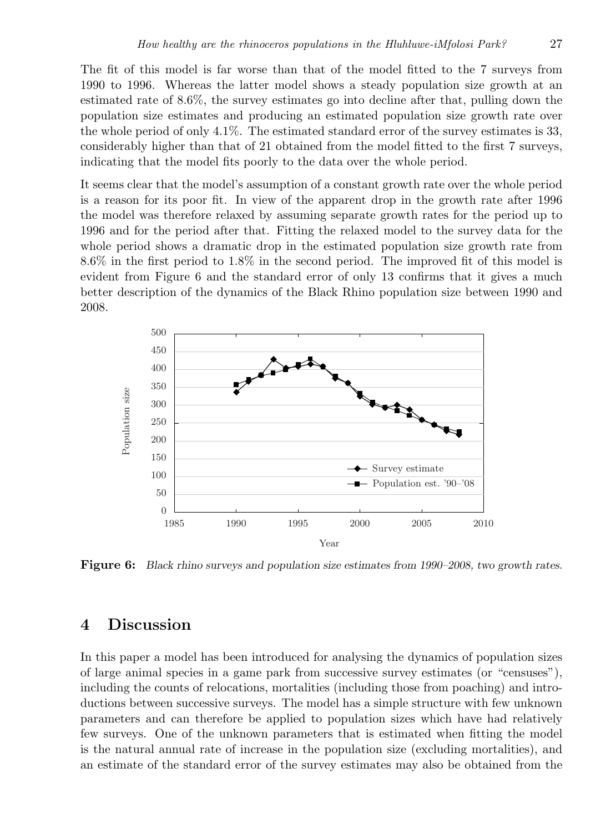The fit of this model is far worse than that of the model fitted to the 7 surveys from 1990 to 1996. Whereas the latter model shows a steady population size growth at an estimated rate of 8.6%, the survey estimates go into decline after that, pulling down the population size estimates and producing an estimated population size growth rate over the whole period of only 4.1%. The estimated standard error of the survey estimates is 33, considerably higher than that of 21 obtained from the model fitted to the first 7 surveys, indicating that the model fits poorly to the data over the whole period.

It seems clear that the model's assumption of a constant growth rate over the whole period is a reason for its poor fit. In view of the apparent drop in the growth rate after 1996 the model was therefore relaxed by assuming separate growth rates for the period up to 1996 and for the period after that. Fitting the relaxed model to the survey data for the whole period shows a dramatic drop in the estimated population size growth rate from 8.6% in the first period to 1.8% in the second period. The improved fit of this model is evident from Figure 6 and the standard error of only 13 confirms that it gives a much better description of the dynamics of the Black Rhino population size between 1990 and 2008.



Figure 6: Black rhino surveys and population size estimates from 1990–2008, two growth rates.

# 4 Discussion

In this paper a model has been introduced for analysing the dynamics of population sizes of large animal species in a game park from successive survey estimates (or "censuses"), including the counts of relocations, mortalities (including those from poaching) and introductions between successive surveys. The model has a simple structure with few unknown parameters and can therefore be applied to population sizes which have had relatively few surveys. One of the unknown parameters that is estimated when fitting the model is the natural annual rate of increase in the population size (excluding mortalities), and an estimate of the standard error of the survey estimates may also be obtained from the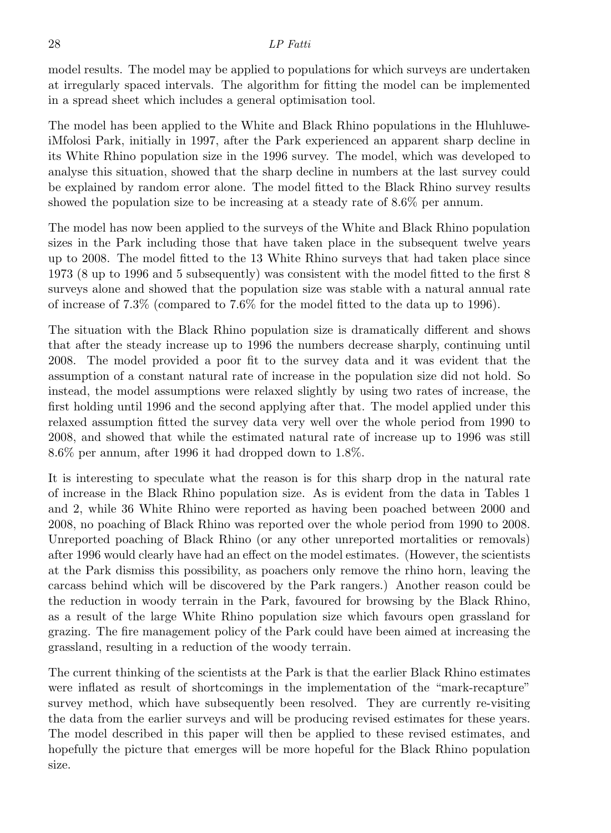model results. The model may be applied to populations for which surveys are undertaken at irregularly spaced intervals. The algorithm for fitting the model can be implemented in a spread sheet which includes a general optimisation tool.

The model has been applied to the White and Black Rhino populations in the HluhluweiMfolosi Park, initially in 1997, after the Park experienced an apparent sharp decline in its White Rhino population size in the 1996 survey. The model, which was developed to analyse this situation, showed that the sharp decline in numbers at the last survey could be explained by random error alone. The model fitted to the Black Rhino survey results showed the population size to be increasing at a steady rate of 8.6% per annum.

The model has now been applied to the surveys of the White and Black Rhino population sizes in the Park including those that have taken place in the subsequent twelve years up to 2008. The model fitted to the 13 White Rhino surveys that had taken place since 1973 (8 up to 1996 and 5 subsequently) was consistent with the model fitted to the first 8 surveys alone and showed that the population size was stable with a natural annual rate of increase of 7.3% (compared to 7.6% for the model fitted to the data up to 1996).

The situation with the Black Rhino population size is dramatically different and shows that after the steady increase up to 1996 the numbers decrease sharply, continuing until 2008. The model provided a poor fit to the survey data and it was evident that the assumption of a constant natural rate of increase in the population size did not hold. So instead, the model assumptions were relaxed slightly by using two rates of increase, the first holding until 1996 and the second applying after that. The model applied under this relaxed assumption fitted the survey data very well over the whole period from 1990 to 2008, and showed that while the estimated natural rate of increase up to 1996 was still 8.6% per annum, after 1996 it had dropped down to 1.8%.

It is interesting to speculate what the reason is for this sharp drop in the natural rate of increase in the Black Rhino population size. As is evident from the data in Tables 1 and 2, while 36 White Rhino were reported as having been poached between 2000 and 2008, no poaching of Black Rhino was reported over the whole period from 1990 to 2008. Unreported poaching of Black Rhino (or any other unreported mortalities or removals) after 1996 would clearly have had an effect on the model estimates. (However, the scientists at the Park dismiss this possibility, as poachers only remove the rhino horn, leaving the carcass behind which will be discovered by the Park rangers.) Another reason could be the reduction in woody terrain in the Park, favoured for browsing by the Black Rhino, as a result of the large White Rhino population size which favours open grassland for grazing. The fire management policy of the Park could have been aimed at increasing the grassland, resulting in a reduction of the woody terrain.

The current thinking of the scientists at the Park is that the earlier Black Rhino estimates were inflated as result of shortcomings in the implementation of the "mark-recapture" survey method, which have subsequently been resolved. They are currently re-visiting the data from the earlier surveys and will be producing revised estimates for these years. The model described in this paper will then be applied to these revised estimates, and hopefully the picture that emerges will be more hopeful for the Black Rhino population size.